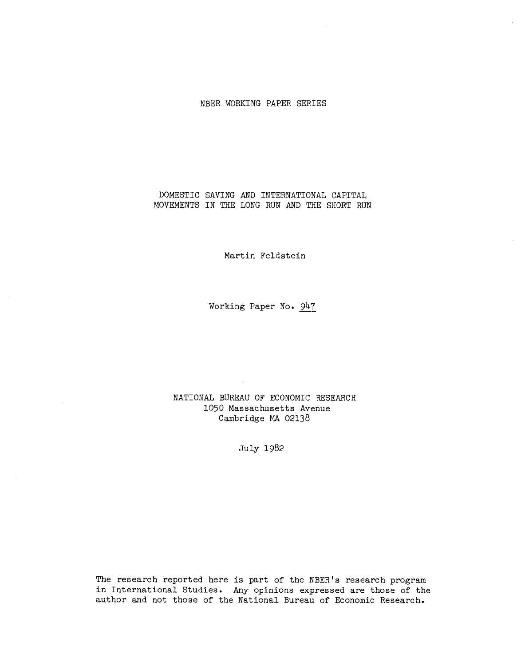## NBER WORKING PAPER SERIES

DOMESTIC SAVING AND INTERNATIONAL CAPITAL MOVEMENTS IN THE LONG RUN AND THE SHORT RUN

Martin Feldstein

Working Paper No. 941

NATIONAL BUREAU OF ECONOMIC RESEARCH 1050 Massachusetts Avenue Cambridge MA 02138

July 1982

The research reported here is part of the NBER's research program in International Studies. Any opinions expressed are those of the author and not those of the National Bureau of Economic Research.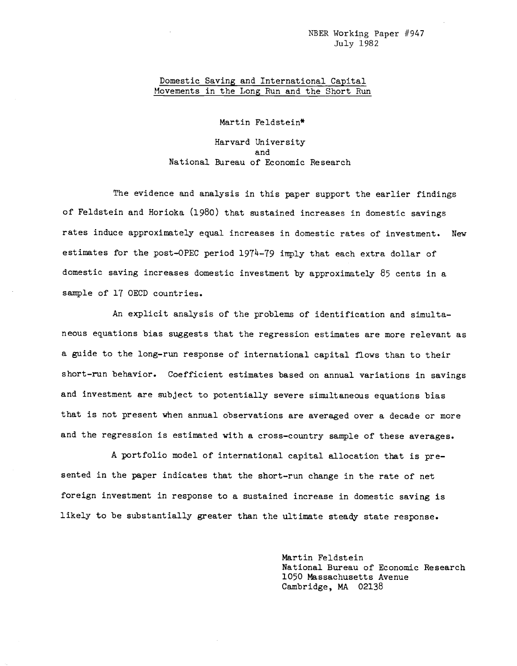## Domestic Saving and International Capital Movements in the Long Run and the Short Run

Martin Feldstein\* Harvard University and National Bureau of Economic Research

The evidence and analysis in this paper support the earlier findings of Feldstein and Horioka (1980) that sustained increases in domestic savings rates induce approximately equal increases in domestic rates of investment. New estimates for the post—OPEC period 1974—79 imply that each extra dollar of domestic saving increases domestic investment by approximately 85 cents in a sample of 17 OECD countries.

An explicit analysis of the problems of identification and simultaneous equations bias suggests that the regression estimates are more relevant as a guide to the long—run response of international capital flows than to their short—run behavior. Coefficient estimates based on annual variations in savings and investment are subject to potentially severe simultaneous equations bias that is not present when annual observations are averaged over a decade or more and the regression is estimated with a cross—country sample of these averages.

A portfolio model of international capital allocation that is presented in the paper indicates that the short—run change in the rate of net foreign investment in response to a sustained increase in domestic saving is likely to be substantially greater than the ultimate steady state response.

> Martin Feldstein National Bureau of Economic Research 1050 Massachusetts Avenue Cambridge, MA 02138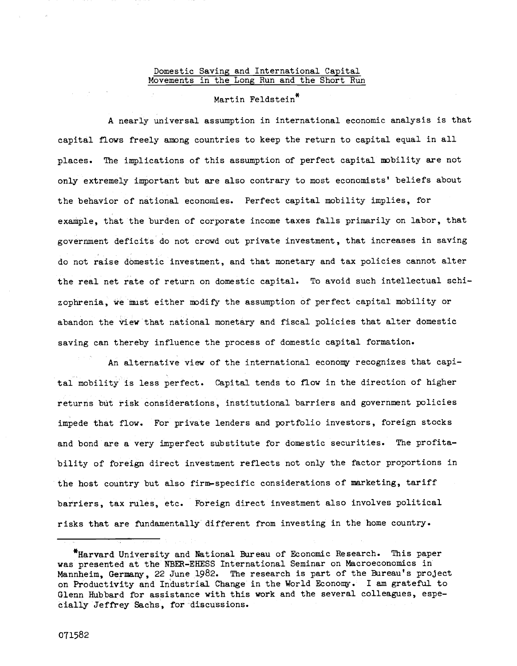## Domestic Saving and International Capital Movements in the Long Run and the Short Run

## Martin Feldstein\*

A nearly universal assumption in international economic analysis is that capital flows freely among countries to keep the return to capital equal in all places. The implications of this assumption of perfect capital mobility are not only extremely important but are also contrary to most economists' beliefs about the behavior of national economies. Perfect capital mobility implies, for example, that the burden of corporate income taxes falls primarily on labor, that government deficits do not crowd out private investment, that increases in saving do not raise domestic investment, and that monetary and tax policies cannot alter the real net rate of return on domestic capital. To avoid such intellectual schizophrenia, we must either nodify the assumption of perfect capital mobility or abandon the view that national monetary and fiscal policies that alter domestic saving can thereby influence the process of domestic capital formation.

An alternative view of the international economy recognizes that capital mobility is less perfect. Capital tends to flow in the direction of higher returns but risk considerations, institutional barriers and government policies impede that flow. For private lenders and portfolio investors, foreign stocks and bond are a very imperfect substitute for domestic securities. The profitability of foreign direct investment reflects not only the factor proportions in the host country but also firm-specific considerations of marketing, tariff barriers, tax rules, etc. Foreign direct investment also involves political risks that are fundamentally different from investing in the home country.

<sup>\*</sup>Harvard University and National Bureau of Economic Research. This paper was presented at the NBER—EHESS International Seminar on Macroeconomics in Mannheim, Germany, 22 June 1982. The research is part of the Bureau's project on Productivity and Industrial Change in the World Economy. I am grateful to Glenn Hubbard for assistance with this work and the several colleagues, espe- cially Jeffrey Sachs, for discussions.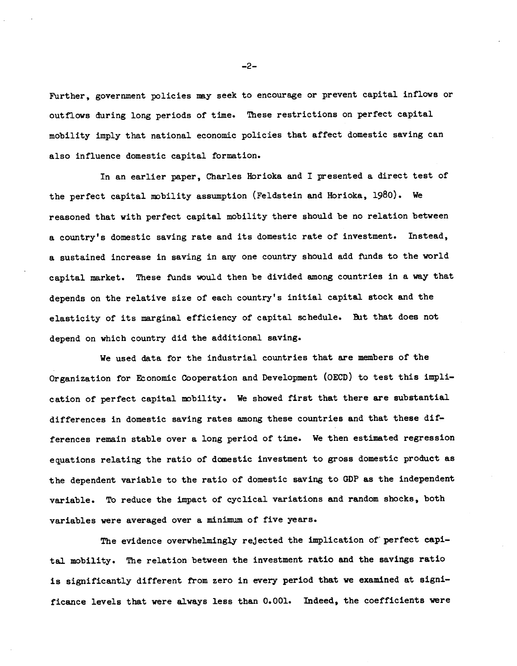Further, government policies may seek to encourage or prevent capital inflows or outflows during long periods of time. These restrictions on perfect capital mobility imply that national economic policies that affect domestic saving can also influence domestic capital formation.

In an earlier paper, Charles Horioka and I presented a direct test of the perfect capital mobility assumption (Feldstein and Horioka, 1980). We reasoned that with perfect capital mobility there should be no relation between a country's domestic saving rate and its domestic rate of Investment. Instead, a sustained increase in saving in any one country should add funds to the world capital market. These funds would then be divided among countries in a way that depends on the relative size of each country's initial capital stock and the elasticity of its marginal efficiency of capital schedule. But that does not depend on which country did the additional saving.

We used data for the industrial countries that are members of the Organization for Economic Cooperation and Development (OECD) to test this implication of perfect capital mobility. We showed first that there are substantial differences in domestic saving rates among these countries and that these differences remain stable over a long period of time. We then estimated regression equations relating the ratio of danestic investment to gross domestic product as the dependent variable to the ratio of domestic saving to GDP as the Independent variable. To reduce the impact of cyclical variations and random shocks, both variables were averaged over a minimum of five years.

The evidence overwhelmingly rejected the implication of perfect capital mobility. The relation between the investment ratio and the savings ratio is significantly different from zero in every period that we examined at significance levels that were always less than 0.001. Indeed, the coefficients were

—2—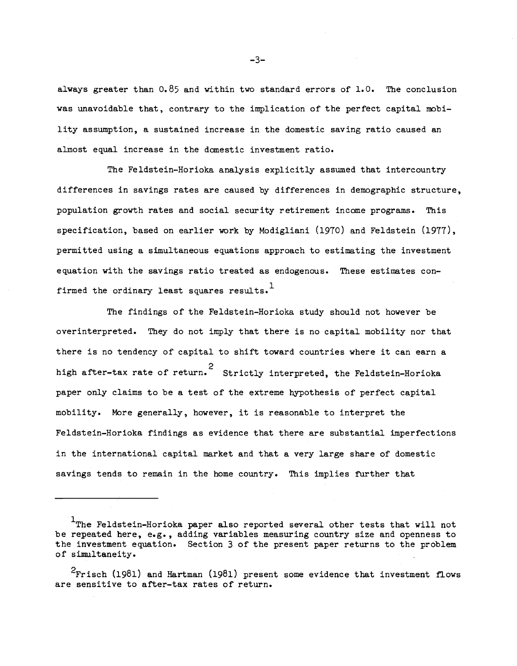always greater than  $0.85$  and within two standard errors of 1.0. The conclusion was unavoidable that, contrary to the implication of the perfect capital mobility assumption, a sustained increase in the domestic saving ratio caused an almost equal increase in the domestic investment ratio.

The Feldstein—Horioka analysis explicitly assumed that intercountry differences in savings rates are caused by differences in demographic structure, population growth rates and social security retirement income programs. This specification, based on earlier york by Modigliani (1970) and Feldstein (1977), permitted using a simultaneous equations approach to estimating the investment equation with the savings ratio treated as endogenous. These estimates confirmed the ordinary least squares results.<sup>1</sup>

The findings of the Feldstein—Horioka study should not however be overinterpreted. They do not imply that there is no capital mobility nor that there is no tendency of capital to shift toward countries where it can earn a high after—tax rate of return.2 Strictly interpreted, the Feldstein—Horioka paper only claims to be a test of the extreme hypothesis of perfect capital mobility. More generally, however, it is reasonable to interpret the Feldstein—Horioka findings as evidence that there are substantial imperfections in the international capital market and that a very large share of domestic savings tends to remain in the home country. This implies further that

—3—

<sup>&</sup>lt;sup>1</sup>The Feldstein-Horioka paper also reported several other tests that will not be repeated here, e.g., adding variables measuring country size and openness to the investment equation. Section 3 of the present paper returns to the problem of simultaneity.

 $2$ Frisch (1981) and Hartman (1981) present some evidence that investment flows are sensitive to after—tax rates of return.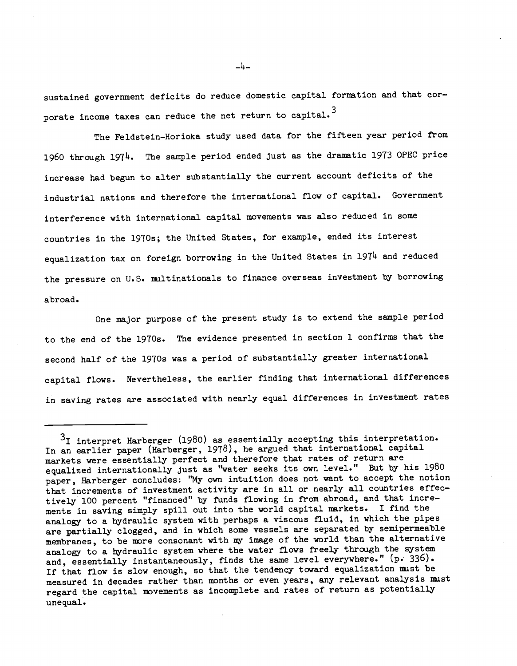sustained government deficits do reduce domestic capital formation and that corporate income taxes can reduce the net return to capital.<sup>3</sup>

The Feldstein—Horioka study used data for the fifteen year period from 1960 through 1971k. The sample period ended just as the dramatic 1973 OPEC price increase had begun to alter substantially the current account deficits of the industrial nations and therefore the international flow of capital. Government interference with international capital movements was also reduced in some countries in the 1970s; the United States, for example, ended its interest equalization tax on foreign borrowing in the United States in 1974 and reduced the pressure on U.S. nultinationals to finance overseas investment by borrowing abroad.

One major purpose of the present study is to extend the sample period to the end of the 1970s. The evidence presented in section 1 confirms that the second half of the 1970s was a period of substantially greater international capital flows. Nevertheless, the earlier finding that international differences in saving rates are associated with nearly equal differences in investment rates

 $3<sub>I</sub>$  interpret Harberger (1980) as essentially accepting this interpretation. In an earlier paper (Harberger, 1978), he argued that international capital markets were essentially perfect and therefore that rates of return are equalized internationally just as "water seeks its own level." But by his 1980 paper, Harberger concludes: "My own intuition does not want to accept the notion that increments of investment activity are in all or nearly all countries effectively 100 percent "financed" by funds flowing in from abroad, and that increments in saving simply spill out into the world capital markets. I find the analogy to a hydraulic system with perhaps a viscous fluid, in which the pipes are partially clogged, and in which some vessels are separated by semipermeable membranes, to be more consonant with my image of the world than the alternative analogy to a hydraulic system where the water flows freely through the system and, essentially instantaneously, finds the same level everywhere." (p. 336). If that flow is slow enough, so that the tendency toward equalization must be measured in decades rather than months or even years, any relevant analysis must regard the capital novements as incomplete and rates of return as potentially unequal.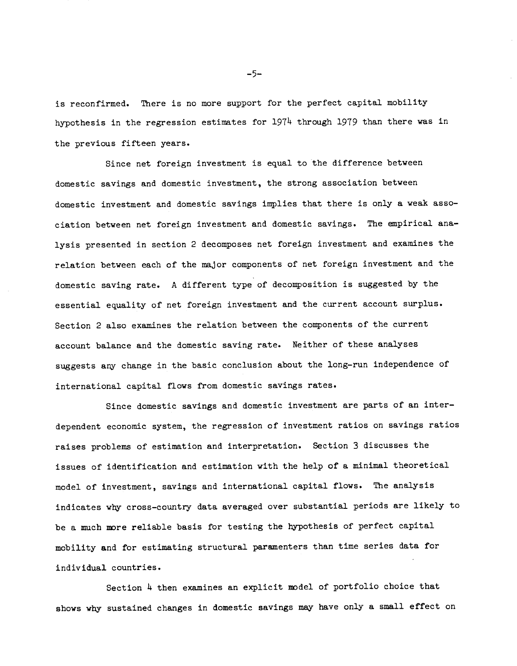is reconfirmed. There is no more support for the perfect capital mobility hypothesis in the regression estimates for l974 through 1919 than there was in the previous fifteen years.

Since net foreign investment is equal to the difference between domestic savings and domestic investment, the strong association between domestic investment and domestic savings implies that there is only a weak association between net foreign investment and domestic savings. The empirical analysis presented in section 2 decomposes net foreign investment and examines the relation between each of the major components of net foreign investment and the domestic saving rate. A different type of decomposition is suggested by the essential equality of net foreign investment and the current account surplus. Section 2 also examines the relation between the components of the current account balance and the domestic saving rate. Neither of these analyses suggests any change in the basic conclusion about the long—run independence of international capital flows from domestic savings rates.

Since domestic savings and domestic investment are parts of an interdependent economic system, the regression of investment ratios on savings ratios raises problems of estimation and interpretation. Section 3 discusses the issues of identification and estimation with the help of a minimal theoretical model of investment, savings and international capital flows. The analysis indicates why cross—country data averaged over substantial periods are likely to be a much more reliable basis for testing the hypothesis of perfect capital mobility and for estimating structural paranenters than time series data for individual countries.

Section  $4$  then examines an explicit model of portfolio choice that shows why sustained changes in domestic savings may have only a small effect on

—5--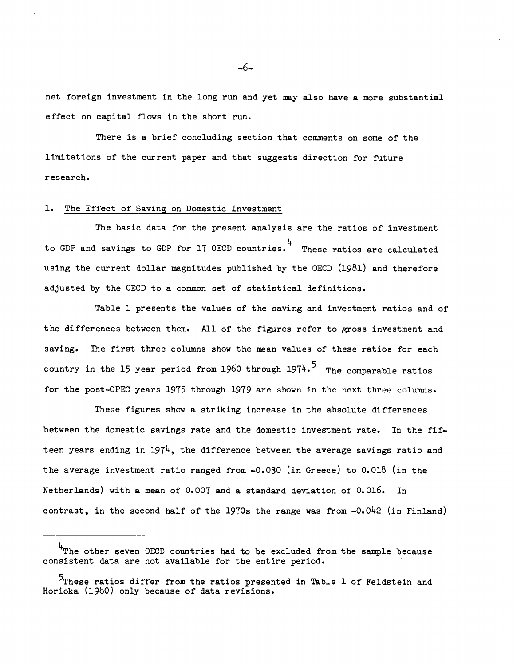net foreign investment in the long run and yet may also have a more substantial effect on capital flows in the short run.

There is a brief concluding section that comments on some of the limitations of the current paper and that suggests direction for future research.

#### 1. The Effect of Saving on Domestic Investment

The basic data for the present analysis are the ratios of investment to GDP and savings to GDP for 17 OECD countries. These ratios are calculated using the current dollar magnitudes published by the OECD (1981) and therefore adjusted by the OECD to a common set of statistical definitions.

Table 1 presents the values of the saving and investment ratios and of the differences between them. All of the figures refer to gross investment and saving. The first three columns show the mean values of these ratios for each country in the 15 year period from 1960 through  $1974.$ <sup>5</sup> The comparable ratios for the post—OPEC years 1975 through 1979 are shown in the next three columns.

These figures show a striking increase in the absolute differences between the domestic savings rate and the domestic investment rate. In the fifteen years ending in  $1974$ , the difference between the average savings ratio and the average investment ratio ranged from —0.030 (in Greece) to 0.018 (in the Netherlands) with a mean of 0.007 and a standard deviation of 0.016. In contrast, in the second half of the 1970s the range was from  $-0.042$  (in Finland)

—6-.

<sup>&</sup>lt;sup>4</sup>The other seven OECD countries had to be excluded from the sample because consistent data are not available for the entire period.

These ratios differ from the ratios presented in Table 1 of Feldstein and Horioka (1980) only because of data revisions.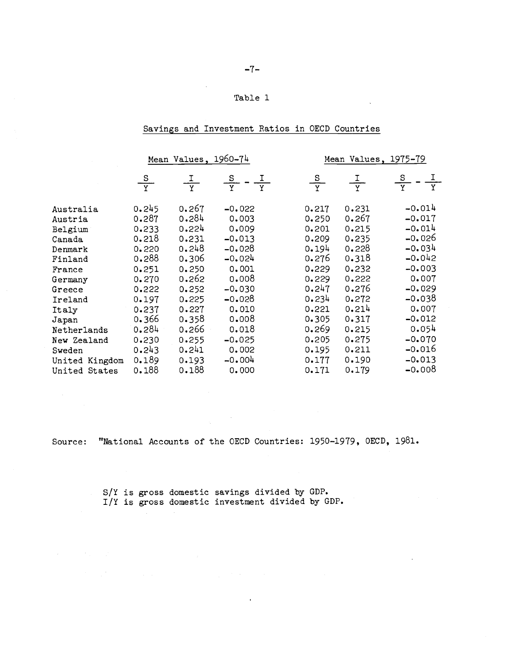## Table 1

# Savings and Investment Ratios in OECD Countries

 $\sim$ 

|                |               | Mean Values, 1960-74 |               | Mean Values, 1975-79                                    |  |  |  |
|----------------|---------------|----------------------|---------------|---------------------------------------------------------|--|--|--|
|                | $\frac{S}{Y}$ |                      | $\frac{S}{Y}$ | $\frac{S}{Y}$<br>$\frac{1}{\Upsilon}$<br>$\overline{Y}$ |  |  |  |
| Australia      | 0.245         | 0.267                | $-0.022$      | $-0.014$<br>0.231<br>0.217                              |  |  |  |
| Austria        | 0.287         | 0.284                | 0.003         | $-0.017$<br>0.267<br>0.250                              |  |  |  |
| Belgium        | 0.233         | 0.224                | 0.009         | $-0.014$<br>0.201<br>0.215                              |  |  |  |
| Canada         | 0.218         | 0.231                | $-0.013$      | $-0.026$<br>0.209<br>0.235                              |  |  |  |
| Denmark        | 0.220         | 0.248                | $-0.028$      | $-0.034$<br>0.194<br>0.228                              |  |  |  |
| Finland        | 0.288         | 0.306                | $-0.024$      | $-0.042$<br>0.318<br>0.276                              |  |  |  |
| France         | 0.251         | 0.250                | 0.001         | $-0.003$<br>0.229<br>0.232                              |  |  |  |
| Germany        | 0.270         | 0.262                | 0.008         | 0.007<br>0.229<br>0.222                                 |  |  |  |
| Greece         | 0.222         | 0.252                | $-0.030$      | 0.247<br>$-0.029$<br>0.276                              |  |  |  |
| Ireland        | 0.197         | 0.225                | $-0.028$      | 0.234<br>-0.038<br>0.272                                |  |  |  |
| Italy          | 0.237         | 0.227                | 0.010         | 0.214<br>0.007<br>0.221                                 |  |  |  |
| Japan          | 0.366         | 0.358                | 0.008         | $-0.012$<br>0.305<br>0.317                              |  |  |  |
| Netherlands    | 0.284         | 0.266                | 0.018         | 0.054<br>0.269<br>0.215                                 |  |  |  |
| New Zealand    | 0.230         | 0.255                | $-0.025$      | $-0.070$<br>0.205<br>0.275                              |  |  |  |
| Sweden         | 0.243         | 0.241                | 0.002         | $-0.016$<br>0.211<br>0.195                              |  |  |  |
| United Kingdom | 0.189         | 0.193                | $-0.004$      | $-0.013$<br>0.177<br>0.190                              |  |  |  |
| United States  | 0.188         | 0.188                | 0.000         | -0.008<br>0.171<br>0.179                                |  |  |  |

 $\label{eq:2.1} \mathcal{F}(\mathcal{F}) = \mathcal{F}(\mathcal{F}) = \mathcal{F}(\mathcal{F})$ 

 $\label{eq:2.1} \frac{1}{\sqrt{2}}\sum_{i=1}^n\frac{1}{\sqrt{2}}\left(\frac{1}{\sqrt{2}}\sum_{i=1}^n\frac{1}{\sqrt{2}}\sum_{i=1}^n\frac{1}{\sqrt{2}}\sum_{i=1}^n\frac{1}{\sqrt{2}}\sum_{i=1}^n\frac{1}{\sqrt{2}}\sum_{i=1}^n\frac{1}{\sqrt{2}}\sum_{i=1}^n\frac{1}{\sqrt{2}}\sum_{i=1}^n\frac{1}{\sqrt{2}}\sum_{i=1}^n\frac{1}{\sqrt{2}}\sum_{i=1}^n\frac{1}{\sqrt{2$ 

Source: "National Accounts of the OECD Countries: 1950—1979, OECD, 1981.

S/Y is gross domestic savings divided by GDP. i/Y is gross domestic investment divided by GDP.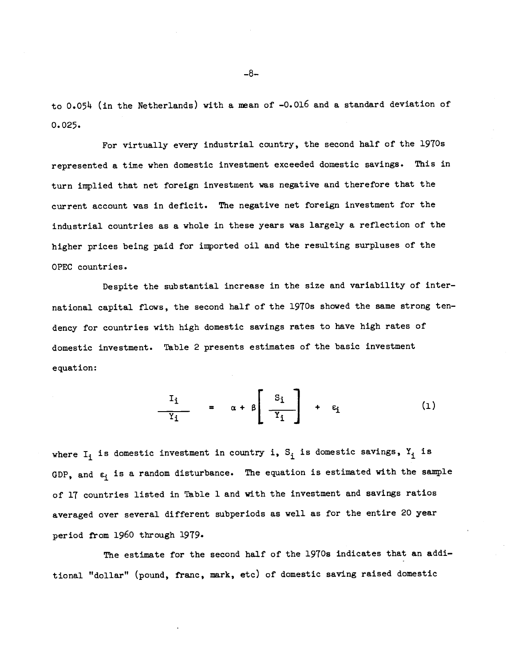to 0.054 (in the Netherlands) with a mean of -0.016 and a standard deviation of 0.025.

For virtually every industrial country, the second half of the l9TOs represented a time when domestic investment exceeded domestic savings. This In turn implied that net foreign investment was negative and therefore that the current account was in deficit. The negative net foreign investment for the industrial countries as a whole in these years was largely a reflection of the higher prices being paid for imported oil and the resulting surpluses of the OPEC countries.

Despite the substantial increase in the size and variability of international capital flows, the second half of the l9TOs showed the same strong tendency for countries with high domestic savings rates to have high rates of domestic investment. Table 2 presents estimates of the basic investment equation:

$$
\frac{I_i}{Y_i} = \alpha + \beta \left[ \frac{S_i}{Y_i} \right] + \epsilon_i \qquad (1)
$$

where  $I_i$  is domestic investment in country i,  $S_i$  is domestic savings,  $Y_i$  is GDP, and  $\varepsilon_i$  is a random disturbance. The equation is estimated with the sample of 17 countries listed in Table 1 and with the investment and savings ratios averaged over several different subperiods as well as for the entire 20 year period from 1960 through 1979.

The estimate for the second half of the 1970s indicates that an additional "dollar" (pound, franc, mark, etc) of domestic saving raised domestic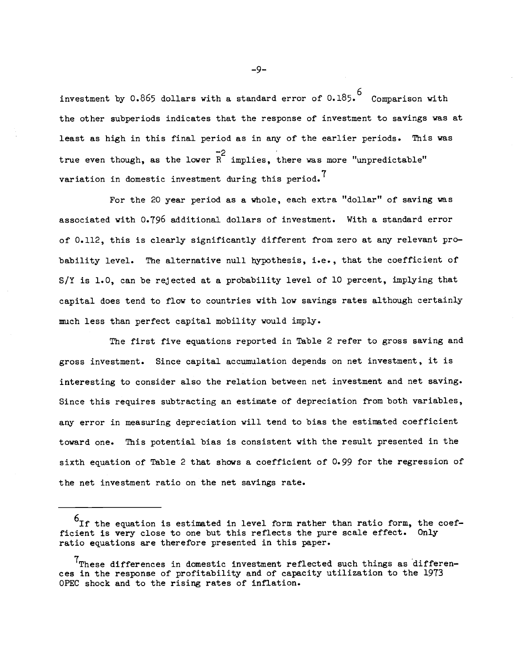investment by 0.865 dollars with a standard error of  $0.185$ . Comparison with the other subperiods indicates that the response of investment to savings was at least as high in this final period as in any of the earlier periods. This was —2 true even though, as the lower B implies, there was more "unpredictable" variation in domestic investment during this period.<sup>7</sup>

For the 20 year period as a whole, each extra "dollar" of saving was associated with 0.796 additional dollars of investment. With a standard error of 0.112, this is clearly significantly different from zero at any relevant probability level. The alternative null hypothesis, i.e., that the coefficient of S/Y is 1.0, can be rejected at a probability level of 10 percent, implying that capital does tend to flow to countries with low savings rates although certainly much less than perfect capital mobility would imply.

The first five equations reported in Table 2 refer to gross saving and gross investment. Since capital accumulation depends on net investment, it is interesting to consider also the relation between net investment and net saving. Since this requires subtracting an estimate of depreciation from both variables, any error in measuring depreciation will tend to bias the estimated coefficient toward one. This potential bias is consistent with the result presented in the sixth equation of Table 2 that shows a coefficient of 0.99 for the regression of the net investment ratio on the net savings rate.

 $^{6}$ If the equation is estimated in level form rather than ratio form, the coefficient is very close to one but this reflects the pure scale effect. Only ratio equations are therefore presented in this paper.

These differences in domestic investment reflected such things as differences in the response of profitability and of capacity utilization to the 1973 OPEC shock and to the rising rates of inflation.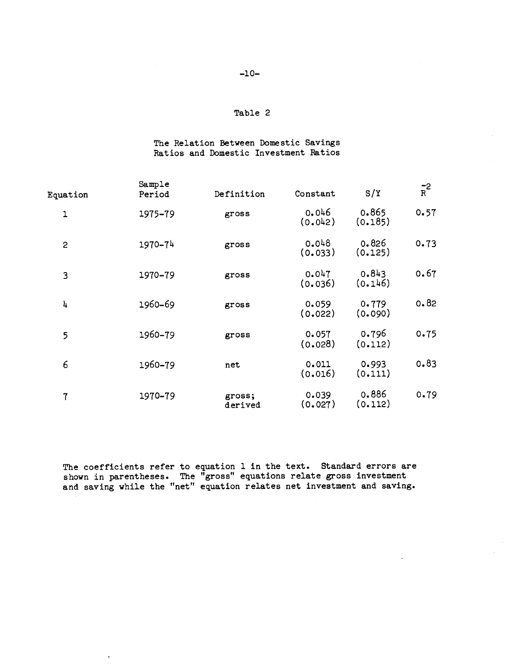## Table 2

# The Relation Between Domestic Savings Ratios and Domestic Investment Ratios

| Equation       | Sample<br>Period | Definition        | Constant         | S/Y              | $\overline{R}^2$ |  |
|----------------|------------------|-------------------|------------------|------------------|------------------|--|
| $\mathbf 1$    | 1975-79          | gross             | 0.046<br>(0.042) | 0.865<br>(0.185) | 0.57             |  |
| $\overline{c}$ | 1970-74          | gross             | 0.048<br>(0.033) | 0.826<br>(0.125) | 0.73             |  |
| 3              | 1970-79          | gross             | 0.047<br>(0.036) | 0.843<br>(0.146) | 0.67             |  |
| 4              | 1960-69          | gross             | 0.059<br>(0.022) | 0.779<br>(0.090) | 0.82             |  |
| 5              | 1960-79          | gross             | 0.057<br>(0.028) | 0.796<br>(0.112) | 0.75             |  |
| 6              | 1960-79          | net               | 0.011<br>(0.016) | 0.993<br>(0.111) | 0.83             |  |
| $\overline{1}$ | 1970-79          | gross;<br>derived | 0.039<br>(0.027) | 0.886<br>(0.112) | 0.79             |  |

The coefficients refer to equation 1 in the text. Standard errors are shown in parentheses. The "gross" equations relate gross investment and saving while the "net" equation relates net investment and saving.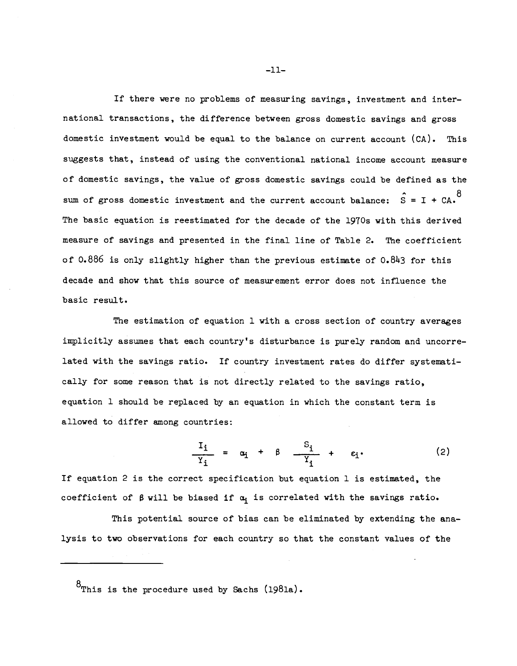If there were no problems of measuring savings, investment and international transactions, the difference between gross domestic savings and gross domestic investment would be equal to the balance on current account (CA). This suggests that, instead of using the conventional national income account measure of domestic savings, the value of gross domestic savings could be defined as the sum of gross domestic investment and the current account balance:  $S = I + CA$ . The basic equation is reestimated for the decade of the 1970s with this derived measure of savings and presented in the final line of Table 2. The coefficient of 0.886 is only slightly higher than the previous estimate of 0.843 for this decade and show that this source of measurement error does not influence the basic result.

The estimation of equation 1 with a cross section of country averages implicitly assumes that each country's disturbance is purely random and uncorre lated with the savings ratio. If country investment rates do differ systematically for some reason that is not directly related to the savings ratio, equation 1 should be replaced by an equation in which the constant term is allowed to differ among countries:

$$
\frac{I_i}{Y_i} = \alpha_i + \beta \frac{S_i}{Y_i} + \epsilon_i.
$$
 (2)

If equation 2 is the correct specification but equation 1 is estimated, the coefficient of  $\beta$  will be biased if  $\alpha_i$  is correlated with the savings ratio.

This potential source of bias can be eliminated by extending the analysis to two observations for each country so that the constant values of the

 $8$ This is the procedure used by Sachs (1981a).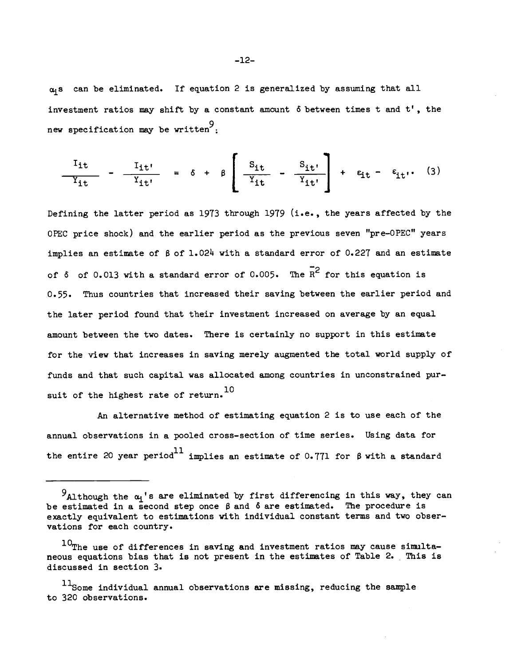$\alpha_i$ s can be eliminated. If equation 2 is generalized by assuming that all investment ratios may shift by a constant amount  $\delta$  between times t and  $t'$ , the new specification may be written<sup>9</sup>.

$$
\frac{I_{it}}{Y_{it}} - \frac{I_{it'}}{Y_{it'}} = \delta + \beta \left[ \frac{S_{it}}{Y_{it}} - \frac{S_{it'}}{Y_{it'}} \right] + \epsilon_{it} - \epsilon_{it'}.
$$
 (3)

Defining the latter period as 1973 through 1979 (i.e., the years affected by the OPEC price shock) and the earlier period as the previous seven "pre—OPEC" years implies an estimate of  $\beta$  of 1.024 with a standard error of 0.227 and an estimate of  $\delta$  of 0.013 with a standard error of 0.005. The  $\overline{R}^2$  for this equation is 0.55. Thus countries that increased their saving between the earlier period and the later period found that their investment increased on average by an equal amount between the two dates. There is certainly no support in this estimate for the view that increases in saving merely augmented the total world supply of funds and that such capital was allocated among countries in unconstrained pursuit of the highest rate of return.  $^{10}$ 

An alternative method of estimating equation 2 is to use each of the annual observations in a pooled cross—section of time series. Using data for the entire 20 year period<sup>11</sup> implies an estimate of 0.771 for  $\beta$  with a standard

 $9A1$ though the  $\alpha_i$ 's are eliminated by first differencing in this way, they can be estimated in a second step once  $\beta$  and  $\delta$  are estimated. The procedure is exactly equivalent to estimations with individual constant terms and two observations for each country.

 $10$ The use of differences in saving and investment ratios may cause simultaneous equations bias that is not present in the estimates of Table 2. This is discussed in section 3.

 $^{11}$ Some individual annual observations are missing, reducing the sample to 320 observations.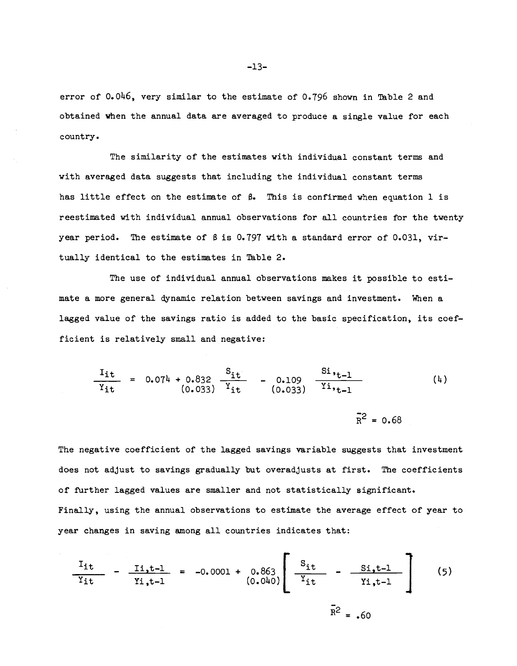error of  $0.046$ , very similar to the estimate of  $0.796$  shown in Table 2 and obtained when the annual data are averaged to produce a single value for each country.

The similarity of the estimates with individual constant terms and with averaged data suggests that including the individual constant terms has little effect on the estimate of  $\beta$ . This is confirmed when equation 1 is reestimated with individual annual observations for all countries for the twenty year period. The estimate of  $\beta$  is 0.797 with a standard error of 0.031, virtually identical to the estimates in Table 2.

The use of individual annual observations makes it possible to estimate a more general dynamic relation between savings and investment. When a lagged value of the savings ratio is added to the basic specification, its coefficient is relatively small and negative:

$$
\frac{I_{it}}{Y_{it}} = 0.074 + 0.832 \frac{S_{it}}{Y_{it}} - 0.109 \frac{Si_{t-1}}{(0.033)} \frac{(4)}{Y_{i,t-1}}
$$
 (4)

The negative coefficient of the lagged savings variable suggests that investment does not adjust to savings gradually but overadjusts at first. The coefficients of further lagged values are smaller and not statistically significant. Finally, using the annual observations to estimate the average effect of year to year changes in saving among all countries indicates that:

$$
\frac{I_{it}}{Y_{it}} - \frac{I_{i,t-1}}{Y_{i,t-1}} = -0.0001 + 0.863 \left[ \frac{S_{it}}{Y_{it}} - \frac{S_{i,t-1}}{Y_{i,t-1}} \right]
$$
(5)

—13—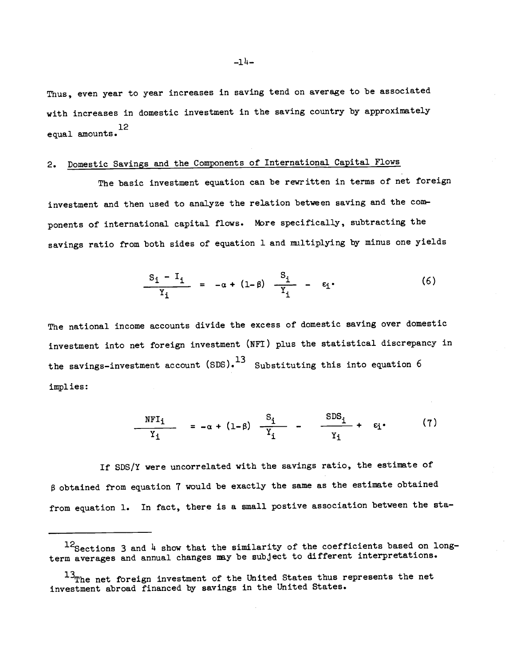Thus, even year to year increases in saving tend on average to be associated with increases in domestic investment in the saving country by approximately 12 equal amounts.

# 2. Domestic Savings and the Components of International Capital Flows

The basic investment equation can be rewritten in terms of net foreign investment and then used to analyze the relation between saving and the components of international capital flows. More specifically, subtracting the savings ratio from both sides of equation 1 and multiplying by minus one yields

$$
\frac{s_i - I_i}{Y_i} = -\alpha + (1 - \beta) \frac{s_i}{Y_i} - \epsilon_i.
$$
 (6)

The national income accounts divide the excess of domestic saving over domestic investment into net foreign investment (NFl) plus the statistical discrepancy in the savings-investment account (SDS).<sup>13</sup> Substituting this into equation 6 implies:

$$
\frac{\text{NFI}_{i}}{Y_{i}} = -\alpha + (1-\beta) \frac{S_{i}}{Y_{i}} - \frac{SDS_{i}}{Y_{i}} + \epsilon_{i} \qquad (7)
$$

If SDS/Y were uncorrelated with the savings ratio, the estimate of <sup>8</sup> obtained from equation 7 would be exactly the same as the estimate obtained from equation 1. In fact, there is a small postive association between the sta-

 $12$ Sections 3 and 4 show that the similarity of the coefficients based on longterm averages and annual changes may be subject to different interpretations.

 $^{13}$ The net foreign investment of the United States thus represents the net investment abroad financed by savings in the United States.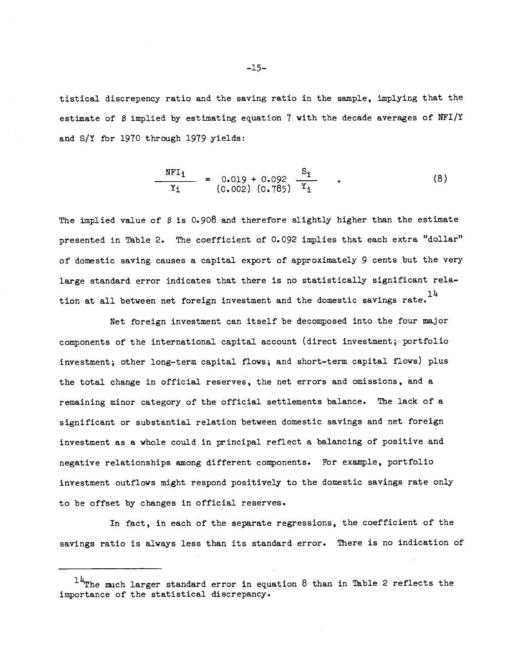tistical discrepency ratio and the saving ratio in the sample, implying that the estimate of  $\beta$  implied by estimating equation 7 with the decade averages of NFI/Y and S/Y for 1970 through 1979 yields:

$$
\frac{\text{NFI}_{i}}{Y_{i}} = \begin{array}{c} 0.019 + 0.092 \\ (0.002) (0.785) \end{array} \frac{S_{i}}{Y_{i}} \qquad (8)
$$

The implied value of  $\beta$  is 0.908 and therefore slightly higher than the estimate presented in Table 2. The coefficient of 0.092 implies that each extra "dollar" of domestic saving causes a capital export of approximately 9 cents but the very large standard error indicates that there is no statistically significant relation at all between net foreign investment and the domestic savings rate.<sup>14</sup>

Net foreign investment can itself be decomposed into the four major components of the international capital account (direct investment; portfolio investment; other long—term capital flows; and short—term capital flows) plus the total change in official reserves, the net errors and omissions, and a remaining minor category of the official settlements balance. The lack of a significant or substantial relation between domestic savings and net foreign investment as a whole could in principal reflect a balancing of positive and negative relationships among different components. For example, portfolio investment outflows might respond positively to the domestic savings rate only to be offset by changes in official reserves.

In fact, in each of the separate regressions, the coefficient of the savings ratio is always less than its standard error. There is no indication of

 $14$ The much larger standard error in equation 8 than in Table 2 reflects the importance of the statistical discrepancy.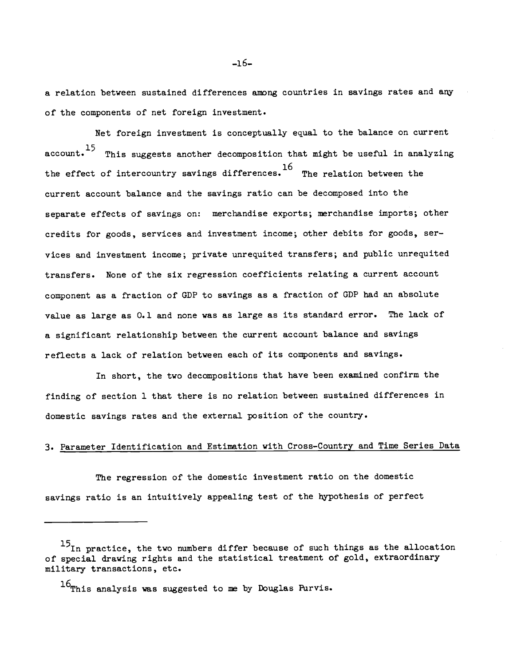a relation between sustained differences among countries in savings rates and any of the components of net foreign investment.

Net foreign investment is conceptually equal to the balance on current account.<sup>15</sup> This suggests another decomposition that might be useful in analyzing the effect of intercountry savings differences.<sup>16</sup> The relation between the current account balance and the savings ratio can be decomposed into the separate effects of savings on: merchandise exports; merchandise imports; other credits for goods, services and investment income; other debits for goods, services and investment income; private unrequited transfers; and public unrequited transfers. None of the six regression coefficients relating a current account component as a fraction of GD? to savings as a fraction of GD? had an absolute value as large as 0.1 and none was as large as its standard error. The lack of a significant relationship between the current account balance and savings reflects a lack of relation between each of its components and savings.

In short, the two decompositions that have been examined confirm the finding of section 1 that there is no relation between sustained differences in domestic savings rates and the external position of the country.

# 3. Parameter Identification and Estimation with Cross—Country and Time Series Data

The regression of the domestic Investment ratio on the domestic savings ratio is an intuitively appealing test of the hypothesis of perfect

 $15_{\text{In practice, the two numbers differ because of such things as the allocation}$ of special drawing rights and the statistical treatment of gold, extraordinary military transactions, etc.

 $16$ This analysis was suggested to me by Douglas Purvis.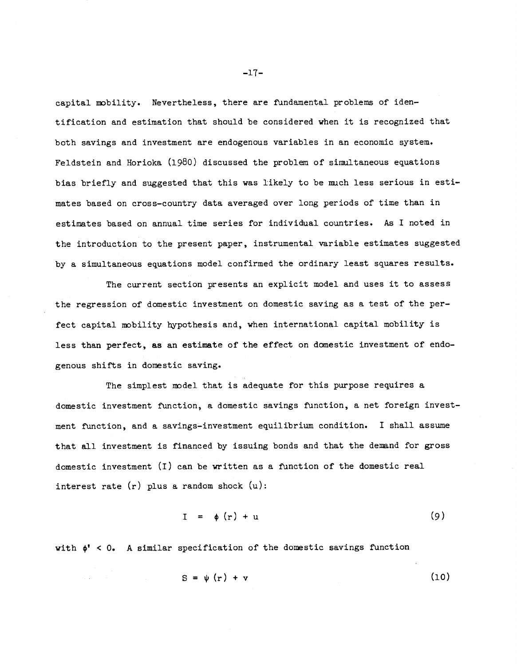capital nobility. Nevertheless, there are fundamental problems of identification and estimation that should be considered when it is recognized that both savings and investment are endogenous variables in an economic system. Feldstein and Horioka (1980) discussed the problem of simultaneous equations bias briefly and suggested that this was likely to be much less serious in estimates based on cross—country data averaged over long periods of time than in estimates based on annual time series for individual countries. As I noted in the introduction to the present paper, instrumental variable estimates suggested by a simultaneous equations model confirmed the ordinary least squares results.

The current section presents an explicit model and uses it to assess the regression of domestic investment on domestic saving as a test of the perfect capital mobility hypothesis and, when international capital mobility is less than perfect, as an estimate of the effect on domestic investment of endo genous shifts in domestic saving.

The simplest model that is adequate for this purpose requires a domestic investment function, a domestic savings function, a net foreign investment function, and a savings—investment equilibrium condition. I shall assume that all investment is financed by issuing bonds and that the demand for gross domestic investment (I) can be written as a function of the domestic real interest rate (r) plus a random shock (u):

$$
I = \phi(r) + u \qquad (9)
$$

with  $\phi'$  < 0. A similar specification of the domestic savings function

$$
S = \psi(r) + v \tag{10}
$$

—17—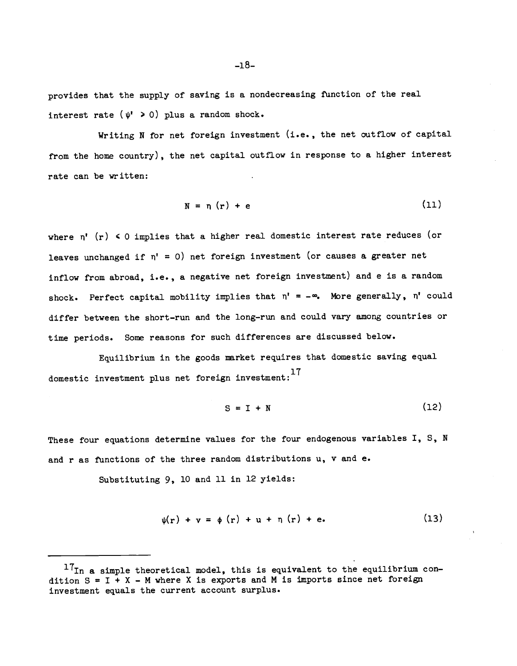provides that the supply of saving is a nondecreasing function of the real interest rate  $(\psi \rightarrow 0)$  plus a random shock.

Writing N for net foreign investment (i.e., the net outflow of capital from the home country), the net capital outflow in response to a higher interest rate can be written:

$$
N = n(r) + e \qquad (11)
$$

where  $\eta'$  (r)  $\leq$  0 implies that a higher real domestic interest rate reduces (or leaves unchanged if  $\eta' = 0$ ) net foreign investment (or causes a greater net inflow from abroad, i.e., a negative net foreign investment) and e is a random shock. Perfect capital mobility implies that  $n' = -\infty$ . More generally,  $n'$  could differ between the short—run and the long—run and could vary among countries or time periods. Some reasons for such differences are discussed below.

Equilibrium in the goods market requires that domestic saving equal domestic investment plus net foreign investment:<sup>17</sup>

$$
S = I + N \tag{12}
$$

These four equations determine values for the four endogenous variables I, S, N and r as functions of the three random distributions u, v and e.

Substituting 9, 10 and 11 in 12 yields:

$$
\psi(r) + v = \phi(r) + u + \eta(r) + e.
$$
 (13)

 $^{17}$ In a simple theoretical model, this is equivalent to the equilibrium con-<br>dition S = I + X - M where X is exports and M is imports since net foreign investment equals the current account surplus.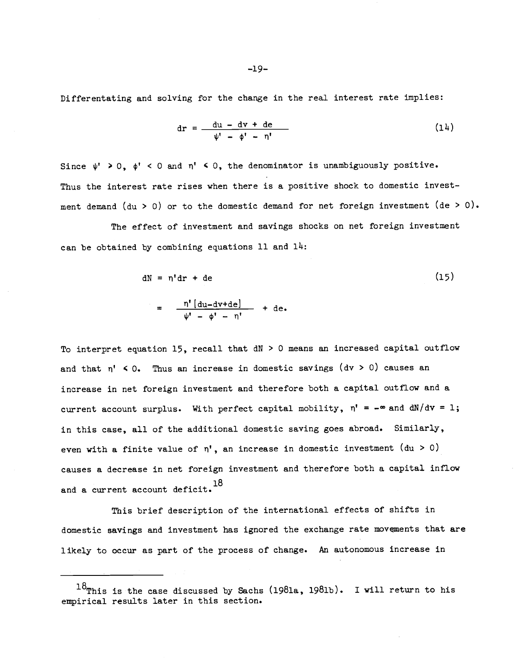Differentating and solving for the change in the real interest rate implies:

$$
dr = \frac{du - dv + de}{\psi' - \phi' - n'} \tag{14}
$$

Since  $\psi' \geq 0$ ,  $\phi' < 0$  and n'  $\leq 0$ , the denominator is unambiguously positive. Thus the interest rate rises when there is a positive shock to domestic investment demand (du > 0) or to the domestic demand for net foreign investment (de > 0).

The effect of investment and savings shocks on net foreign investment can be obtained by combining equations 11 and  $14$ :

 $\phi'$   $n'$ 

$$
dN = n' dr + de
$$
 (15)  
= 
$$
\frac{n' [du-dv+de]}{1}
$$
 + de.

To interpret equation 15, recall that dN > 0 means an increased capital outflow and that  $\eta'$  < 0. Thus an increase in domestic savings (dv > 0) causes an increase in net foreign investment and therefore both a capital outflow and a current account surplus. With perfect capital mobility,  $n' = -\infty$  and  $dN/dv = 1$ ; in this case, all of the additional domestic saving goes abroad. Similarly, even with a finite value of  $n'$ , an increase in domestic investment (du > 0) causes a decrease in net foreign investment and therefore both a capital inflow and a current account deficit.<sup>18</sup>

This brief description of the international effects of shifts in domestic savings and investment has ignored the exchange rate movements that are likely to occur as part of the process of change. An autonomous increase in

 $18$ This is the case discussed by Sachs (1981a, 1981b). I will return to his empirical results later in this section.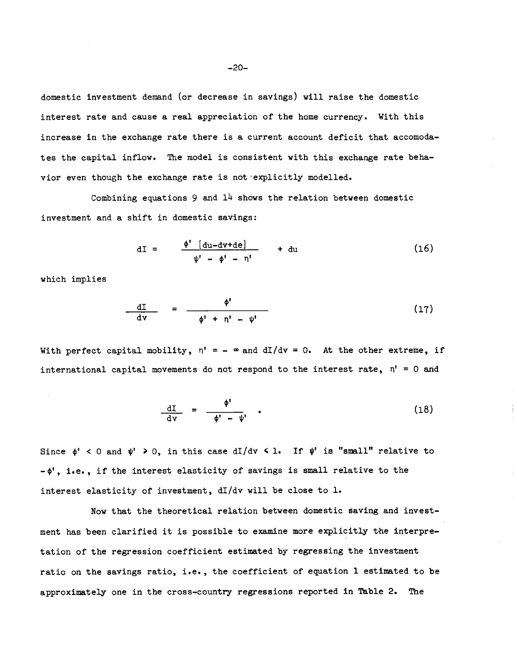domestic investment demand (or decrease in savings) will raise the domestic interest rate and cause a real appreciation of the home currency. With this increase in the exchange rate there is a current account deficit that accomoda tes the capital inflow. The model is consistent with this exchange rate behavior even though the exchange rate is not explicitly modelled.

Combining equations 9 and  $14$  shows the relation between domestic investment and a shift in domestic savings:

$$
dI = \frac{\phi' \left[du - dv + de\right]}{\psi' - \phi' - \eta'} + du \qquad (16)
$$

which implies

$$
\frac{\mathrm{d}I}{\mathrm{d}v} = \frac{\phi'}{\phi' + n' - \psi'}
$$
 (17)

With perfect capital mobility,  $\eta' = -\infty$  and  $dI/dv = 0$ . At the other extreme, if international capital movements do not respond to the interest rate,  $n' = 0$  and

$$
\frac{dI}{dv} = \frac{\phi'}{\phi' - \psi'}, \qquad (18)
$$

Since  $\phi'$  < 0 and  $\psi'$  > 0, in this case dI/dv < 1. If  $\psi'$  is "small" relative to —4)', i.e., if the interest elasticity of savings is small relative to the interest elasticity of investment, dI/dv will be close to 1.

Now that the theoretical relation between domestic saving and investment has been clarified it is possible to examine more explicitly the interpre tation of the regression coefficient estimated by regressing the investment ratio on the savings ratio, i.e., the coefficient of equation 1 estimated to be approximately one in the cross—country regressions reported in Table 2. The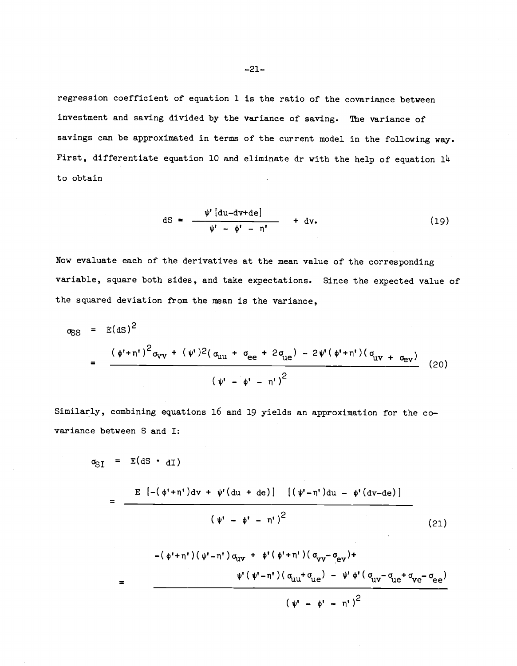regression coefficient of equation 1 is the ratio of the covariance between investment and saving divided by the variance of saving. The variance of savings can be approximated in terms of the current model in the following way. First, differentiate equation 10 and eliminate dr with the help of equation  $14$ to obtain

$$
dS = \frac{\psi' \left[ du - dv + de \right]}{\psi' - \phi' - n'} + dv. \qquad (19)
$$

Now evaluate each of the derivatives at the mean value of the corresponding variable, square both sides, and take expectations. Since the expected value of the squared deviation from the mean is the variance,

$$
\sigma_{\rm SS} = E(\rm ds)^2
$$
\n
$$
= \frac{(\phi' + \eta')^2 \sigma_{\rm VV} + (\psi')^2 (\sigma_{\rm uu} + \sigma_{\rm ee} + 2\sigma_{\rm ue}) - 2\psi'(\phi' + \eta') (\sigma_{\rm uv} + \sigma_{\rm ev})}{(\psi' - \phi' - \eta')^2} \tag{20}
$$

Similarly, combining equations 16 and 19 yields an approximation for the co variance between S and I:

$$
\sigma_{ST} = E(\text{d}S \cdot \text{d}I)
$$
  
= 
$$
\frac{E [-(\phi^t + \eta^t) \text{d}v + \psi^t (\text{d}u + \text{d}e)] [(\psi^t - \eta^t) \text{d}u - \phi^t (\text{d}v - \text{d}e)]}{(\psi^t - \phi^t - \eta^t)^2}
$$
(21)  

$$
-(\phi^t + \eta^t) (\psi^t - \eta^t) \sigma_{uv} + \phi^t (\phi^t + \eta^t) (\sigma_{vv} - \sigma_{ev}) +
$$
  

$$
= \psi^t (\psi^t - \eta^t) (\sigma_{uu} + \sigma_{ue}) - \psi^t \phi^t (\sigma_{uv} - \sigma_{ue} + \sigma_{ve} - \sigma_{ee})
$$

 $(\psi' - \phi' - \eta')^2$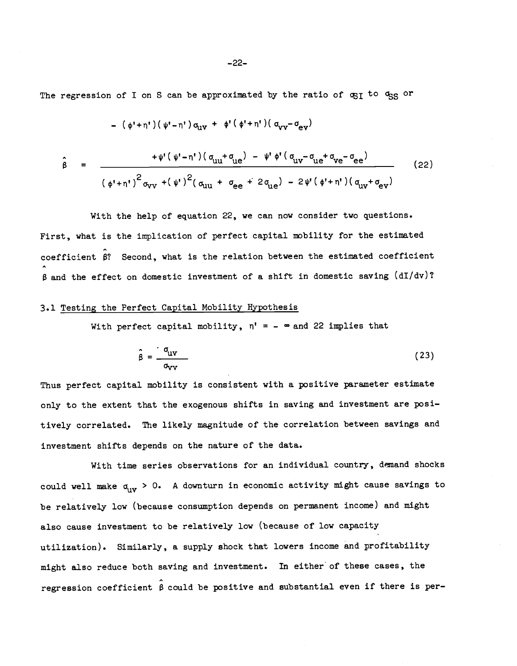The regression of I on S can be approximated by the ratio of  $\sigma_{SI}$  to  $\sigma_{SS}$  or

$$
-(\phi' + \eta')(\psi' - \eta')\sigma_{\mu\nu} + \phi'(\phi' + \eta')(\sigma_{\nu\nu} - \sigma_{e\nu})
$$
\n
$$
\hat{\beta} = \frac{+\psi'(\psi' - \eta')(\sigma_{\mu\nu} + \sigma_{\mu e}) - \psi' \phi'(\sigma_{\mu\nu} - \sigma_{\mu e} + \sigma_{\nu e} - \sigma_{e e})}{(\phi' + \eta')^2 \sigma_{\nu\nu} + (\psi')^2(\sigma_{\mu\nu} + \sigma_{e e} + 2\sigma_{\mu e}) - 2\psi'(\phi' + \eta')(\sigma_{\mu\nu} + \sigma_{e \nu})}
$$
\n(22)

With the help of equation 22, we can now consider two questions. First, what is the implication of perfect capital mobility for the estimated coefficient 8? Second, what is the relation between the estimated coefficient  $\beta$  and the effect on domestic investment of a shift in domestic saving  $(dI/dv)$ ?

# 3.1 Testing the Perfect Capital Mobility Hypothesis

With perfect capital mobility,  $n' = -\infty$  and 22 implies that

$$
\hat{\beta} = \frac{\sigma_{uv}}{\sigma_{vv}} \tag{23}
$$

Thus perfect capital mobility is consistent with a positive parameter estimate only to the extent that the exogenous shifts in saving and investment are positively correlated. The likely magnitude of the correlation between savings and investment shifts depends on the nature of the data.

With time series observations for an individual country, demand shocks could well make  $\sigma_{UV} > 0$ . A downturn in economic activity might cause savings to be relatively low (because consumption depends on permanent income) and might also cause investment to be relatively low (because of low capacity utilization). Similarly, a supply shock that lowers income and profitability might also reduce both saving and Investment. In either' of these cases, the regression coefficient  $\beta$  could be positive and substantial even if there is per-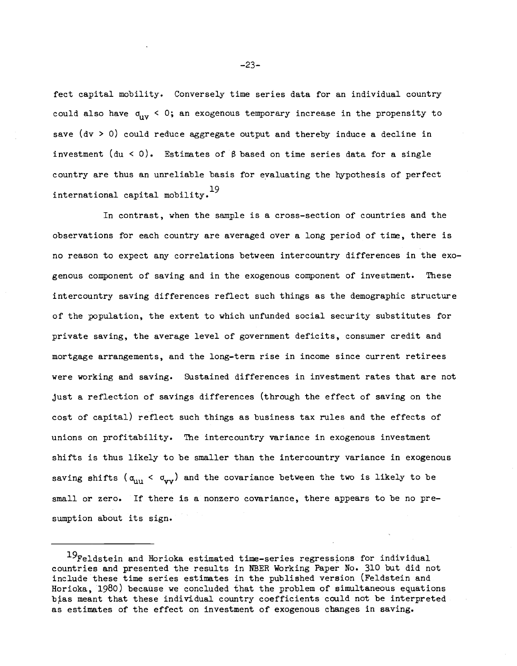fect capital mobility. Conversely time series data for an individual country could also have  $\sigma_{\text{inv}} < 0$ ; an exogenous temporary increase in the propensity to save  $\text{(dv} > 0)$  could reduce aggregate output and thereby induce a decline in investment (du < 0). Estimates of  $\beta$  based on time series data for a single country are thus an unreliable basis for evaluating the hypothesis of perfect international capital mobility.19

In contrast, when the sample is a cross—section of countries and the observations for each country are averaged over a long period of time, there is no reason to expect any correlations between intercountry differences in the exogenous component of saving and in the exogenous component of investment. These intercountry saving differences reflect such things as the demographic structure of the population, the extent to which unfunded social security substitutes for private saving, the average level of government deficits, consumer credit and mortgage arrangements, and the long—term rise in income since current retirees were working and saving. Sustained differences in investment rates that are not just a reflection of savings differences (through the effect of saving on the cost of capital) reflect such things as business tax rules and the effects of unions on profitability. The intercountry variance in exogenous investment shifts is thus likely to be smaller than the intercountry variance in exogenous saving shifts  $(a_{111} < a_{rr})$  and the covariance between the two is likely to be small or zero. If there is a nonzero covariance, there appears to be no presumption about its sign.

—23—

 $19$ Feldstein and Horioka estimated time-series regressions for individual countries and presented the results in NBER Working Paper No. 310 but did not include these time series estimates in the published version (Feldstein and Horioka, 1980) because we concluded that the problem of simultaneous equations bias meant that these individual country coefficients could not be interpreted as estimates of the effect on investment of exogenous changes in saving.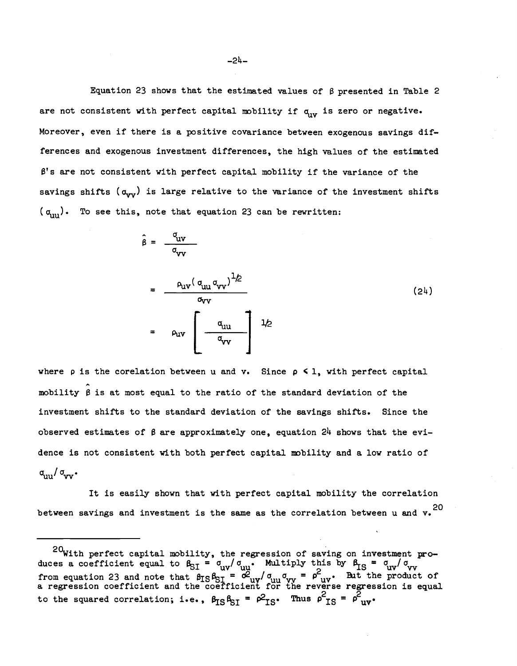Equation 23 shows that the estimated values of  $\beta$  presented in Table 2 are not consistent with perfect capital mobility if  $q_{\text{uv}}$  is zero or negative. Moreover, even if there is a positive covariance between exogenous savings differences and exogenous investment differences, the high values of the estimated 8's are not consistent with perfect capita1 mobility if the variance of the savings shifts  $(\sigma_{vv})$  is large relative to the variance of the investment shifts  $(\sigma_{\rm cm})$ . To see this, note that equation 23 can be rewritten:

$$
\hat{\beta} = \frac{\sigma_{uv}}{\sigma_{vv}}
$$

$$
= \frac{\rho_{\text{uv}}(q_{\text{uu}}q_{\text{vv}})^{1/2}}{q_{\text{vv}}}
$$
 (24)  

$$
= \rho_{\text{uv}} \left[ \frac{q_{\text{uu}}}{q_{\text{vv}}} \right]^{1/2}
$$

where p is the corelation between u and v. Since  $p \leq 1$ , with perfect capital mobility  $\beta$  is at most equal to the ratio of the standard deviation of the investment shifts to the standard deviation of the savings shifts. Since the observed estimates of  $\beta$  are approximately one, equation  $24$  shows that the evidence is not consistent with both perfect capital mobility and a low ratio of  $a_{\rm uu}/a_{\rm vv}$ .

It is easily shown that with perfect capital mobility the correlation between savings and investment is the same as the correlation between u and  $v<sup>20</sup>$ 

- with perfect capital mobility, the regression of saving on investment pro-<br>duces a coefficient equal to  $\beta_{SI} = \sigma_{uv}/\sigma_{uv}$ . Multiply this by  $\beta_{IS} = \sigma_{uv}/\sigma_{vv}$ from equation 23 and note that  $\beta_{\text{IS}}\beta_{\text{SI}} = \overrightarrow{\theta}_{\text{UV}}^2/\sigma_{\text{uu}}\sigma_{\text{vv}} = \rho_{\text{uv}}^2$ . But the product of a regression coefficient and the coefficient for the reverse regression is equal to the squared correlation; i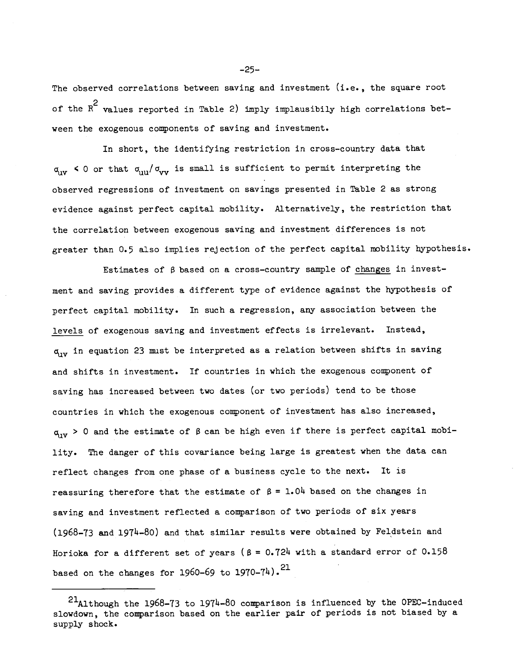The observed correlations between saving and investment (i.e., the square root of the  $R^2$  values reported in Table 2) imply implausibily high correlations between the exogenous components of saving and investment.

In short, the identifying restriction in cross—country data that  $\sigma_{\text{uv}}$  < 0 or that  $\sigma_{\text{uu}}/\sigma_{\text{vv}}$  is small is sufficient to permit interpreting the observed regressions of investment on savings presented in Table 2 as strong evidence against perfect capital mobility. Alternatively, the restriction that the correlation between exogenous saving and investment differences is not greater than 0.5 also implies rejection of the perfect capital nobility hypothesis.

Estimates of 8 based on a cross—country sample of changes in investment and saving provides a different type of evidence against the hypothesis of perfect capital mobility. In such a regression, any association between the levels of exogenous saving and investment effects is irrelevant. Instead,  $q_{1V}$  in equation 23 must be interpreted as a relation between shifts in saving and shifts in investment. If countries in which the exogenous component of saving has increased between two dates (or two periods) tend to be those countries in which the exogenous component of investment has also increased,  $q_{\text{av}}$  > 0 and the estimate of  $\beta$  can be high even if there is perfect capital mobility. The danger of this covariance being large Is greatest when the data can reflect changes from one phase of a business cycle to the next. It is reassuring therefore that the estimate of  $\beta = 1.04$  based on the changes in saving and investment reflected a comparison of two periods of six years (1968-73 and 1974-80) and that similar results were obtained by Feldstein and Horioka for a different set of years  $(\beta = 0.724$  with a standard error of 0.158 based on the changes for 1960-69 to 1970-74).<sup>21</sup>

 $21$ Although the 1968-73 to 1974-80 comparison is influenced by the OPEC-induced slowdown, the comparison based on the earlier pair of periods is not biased by a supply shock.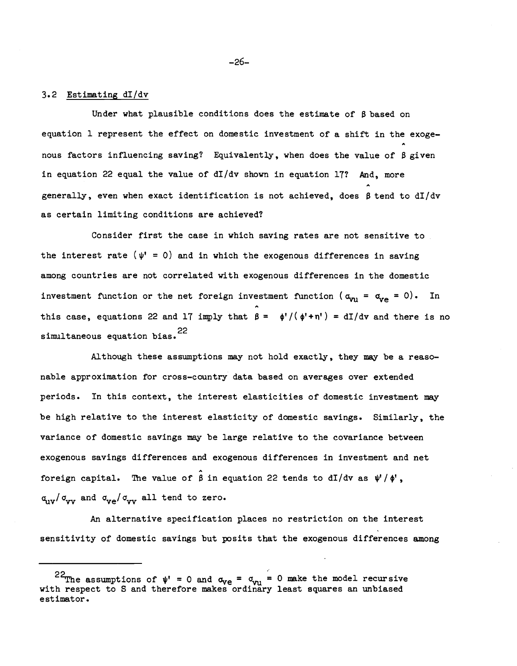## 3.2 Estimating dI/dv

Under what plausible conditions does the estimate of B based on equation 1 represent the effect on domestic investment of a shift in the exogenous factors influencing saving? Equivalently, when does the value of B given in equation 22 equal the value of dI/dv shown in equation 17? And, more generally, even when exact identification is not achieved, does B tend to dI/dv as certain limiting conditions are achieved?

Consider first the case in which saving rates are not sensitive to the interest rate ( $\psi' = 0$ ) and in which the exogenous differences in saving among countries are not correlated with exogenous differences in the domestic investment function or the net foreign investment function ( $\sigma_{vu} = \sigma_{ve} = 0$ ). In this case, equations 22 and 17 imply that  $\beta = \phi' / (\phi' + \eta') = dI/dv$  and there is no simultaneous equation bias.22

Although these assumptions may not hold exactly, they may be a reasonable approximation for cross—country data based on averages over extended periods. In this context, the interest elasticities of domestic investment may be high relative to the interest elasticity of domestic savings. Similarly, the variance of domestic savings may be large relative to the covariance between exogenous savings differences and exogenous differences in investment and net foreign capital. The value of  $\beta$  in equation 22 tends to dI/dv as  $\psi' / \phi'$ ,  $a_{\rm uv}/a_{\rm vv}$  and  $a_{\rm v}$  /  $a_{\rm vv}$  all tend to zero.

An alternative specification places no restriction on the interest sensitivity of domestic savings but posits that the exogenous differences among

—26—

<sup>&</sup>lt;sup>22</sup>The assumptions of  $\psi' = 0$  and  $\sigma_{ve} = \sigma_{vu} = 0$  make the model recursive with respect to S and therefore makes ordinary least squares an unbiased estimator.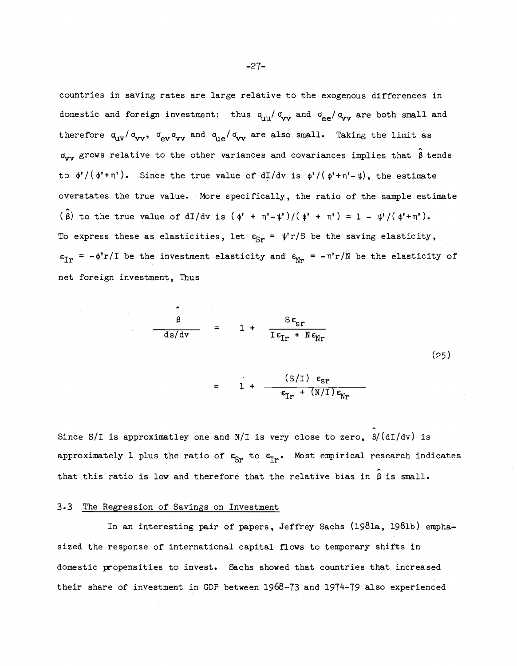countries in saving rates are large relative to the exogenous differences in domestic and foreign investment: thus  $q_{\text{uu}}/q_{\text{vv}}$  and  $q_{\text{ee}}/q_{\text{vv}}$  are both small and therefore  $a_{uv}/a_{vv}$ ,  $a_{ev}a_{vv}$  and  $a_{ue}/a_{vv}$  are also small. Taking the limit as  $\sigma_{VV}$  grows relative to the other variances and covariances implies that  $\hat{\beta}$  tends to  $\phi'$ /( $\phi'$ +n'). Since the true value of dI/dv is  $\phi'$ /( $\phi'$ +n'- $\psi$ ), the estimate overstates the true value. More specifically, the ratio of the sample estimate  $(\hat{\beta})$  to the true value of dI/dv is  $(\phi' + \eta' - \psi')/(\phi' + \eta') = 1 - \psi' / (\phi' + \eta')$ . To express these as elasticities, let  $\varepsilon_{\rm Sr}$  =  $\psi$ 'r/S be the saving elasticity,  $\varepsilon_{\text{Ir}}$  = - $\psi^{\dagger}$ r/I be the investment elasticity and  $\varepsilon_{\text{Nr}}$  = - $\eta^{\dagger}$ r/N be the elasticity of net foreign investment, Thus

$$
\frac{\beta}{ds/dv} = 1 + \frac{S\epsilon_{sr}}{I\epsilon_{Ir} + N\epsilon_{Nr}}
$$
\n(25)

$$
= 1 + \frac{(S/I) \epsilon_{sr}}{\epsilon_{Ir} + (N/I) \epsilon_{Nr}}
$$

Since S/I is approximatley one and N/I is very close to zero,  $\beta/(dI/dv)$  is approximately 1 plus the ratio of  $\epsilon_{\text{Sr}}$  to  $\epsilon_{\text{Tr}}$ . Most empirical research indicates that this ratio is low and therefore that the relative bias in  $\beta$  is small.

## 3.3 The Regression of Savings on Investment

In an interesting pair of papers, Jeffrey Sachs (1981a, 1981b) emphasized the response of international capital flows to temporary shifts in domestic propensities to invest. Sachs showed that countries that increased their share of investment in GDP between 1968-73 and 1974-79 also experienced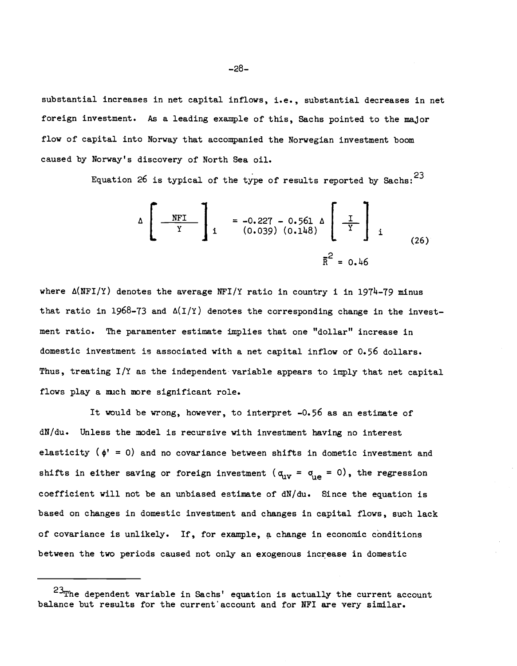substantial increases in net capital inflows, i.e., substantial decreases in net foreign investment. As a leading example of this, Sachs pointed to the major flow of capital into Norway that accompanied the Norwegian investment boom caused by Norway's discovery of North Sea oil.

Equation 26 is typical of the type of results reported by Sachs: $^{23}$ 

$$
\Delta \left[\begin{array}{c} \text{NFI} \\ \hline Y \\ \hline \end{array}\right]_1 = -0.227 - 0.561 \Delta \left[\begin{array}{c} \frac{1}{Y} \\ \frac{1}{Y} \\ \hline \end{array}\right]_1
$$
(26)

where  $\Delta(NFI/Y)$  denotes the average NFI/Y ratio in country i in 1974-79 minus that ratio in 1968-73 and  $\Delta(T/Y)$  denotes the corresponding change in the investment ratio. The paramenter estimate implies that one "dollar" increase in domestic investment is associated with a net capital inflow of 0.56 dollars. Thus, treating I/Y as the independent variable appears to imply that net capital flows play a much more significant role.

It would be wrong, however, to interpret —0.56 as an estimate of dN/du. Unless the model is recursive with investment having no interest elasticity  $(\phi' = 0)$  and no covariance between shifts in dometic investment and shifts in either saving or foreign investment  $(q_{1V} = q_{1e} = 0)$ , the regression coefficient will not be an unbiased estimate of dN/du. Since the equation is based on changes in domestic investment and changes in capital flows, such lack of covariance is unlikely. If, for example, a change in economic conditions between the two periods caused not only an exogenous increase in domestic

 $23$ The dependent variable in Sachs' equation is actually the current account balance but results for the current account and for NFl are very similar.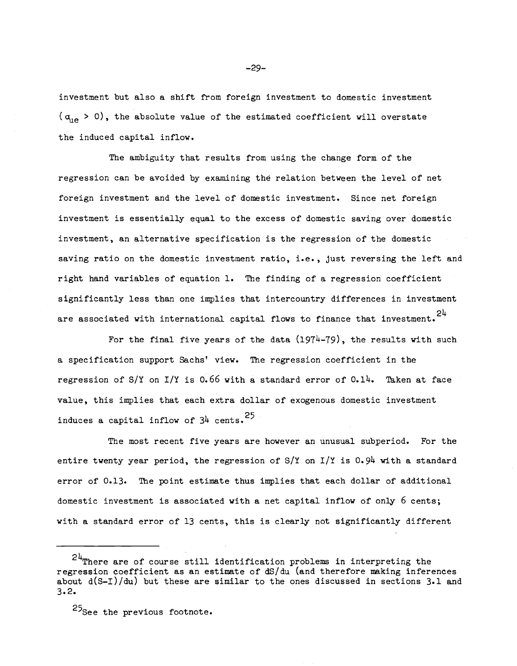investment but also a shift from foreign investment to domestic investment  $(a_{1,2} > 0)$ , the absolute value of the estimated coefficient will overstate the induced capital inflow.

The ambiguity that results from using the change form of the regression can be avoided by examining the relation between the level of net foreign investment and the level of domestic investment. Since net foreign investment is essentially equal to the excess of domestic saving over domestic investment, an alternative specification is the regression of the domestic saving ratio on the domestic investment ratio, i.e., just reversing the left and right hand variables of equation 1. The finding of a regression coefficient significantly less than one implies that intercountry differences in investment are associated with international capital flows to finance that investment.  $2^{\frac{1}{4}}$ 

For the final five years of the data  $(1974-79)$ , the results with such a specification support Sachs' view. The regression coefficient in the regression of S/Y on I/Y is 0.66 with a standard error of  $0.14$ . Taken at face value, this implies that each extra dollar of exogenous domestic investment induces a capital inflow of  $3<sup>4</sup>$  cents.<sup>25</sup>

The most recent five years are however an unusual subperiod. For the entire twenty year period, the regression of  $S/Y$  on  $I/Y$  is 0.94 with a standard error of 0.13. The point estimate thus implies that each dollar of additional domestic investment is associated with a net capital inflow of only 6 cents; with a standard error of 13 cents, this is clearly not significantly different

—29—

 $24$ There are of course still identification problems in interpreting the regression coefficient as an estimate of dS/du (and therefore making inferences about  $d(S-I)/du$ ) but these are similar to the ones discussed in sections 3.1 and  $3.2.$ 

<sup>25</sup>See the previous footnote.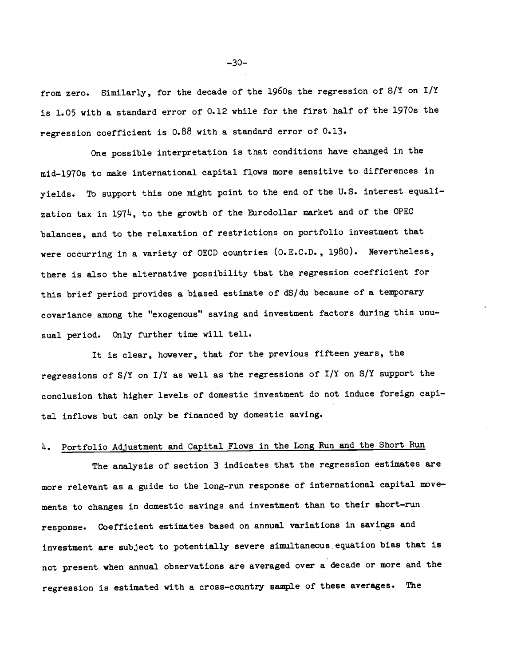from zero. Similarly, for the decade of the 1960s the regression of SlY on I/Y is 1.05 with a standard error of 0.12 while for the first half of the 1970s the regression coefficient is 0.88 with a standard error of 0.13.

One possible interpretation is that conditions have changed in the mid—1970s to make international capital flows more sensitive to differences in yields. To support this one might point to the end of the U.S. interest equali zation tax in 1974, to the growth of the Eurodollar market and of the OPEC balances, and to the relaxation of restrictions on portfolio investment that were occurring in a variety of OECD countries (0.E.C.D., 1980). Nevertheless, there is also the alternative possibility that the regression coefficient for this brief period provides a biased estimate of dS/du because of a temporary covariance among the "exogenous" saving and investment factors during this unu sual period. Only further time will tell.

It is clear, however, that for the previous fifteen years, the regressions of  $S/Y$  on  $I/Y$  as well as the regressions of  $I/Y$  on  $S/Y$  support the conclusion that higher levels of domestic investment do not induce foreign capital inflows but can only be financed by domestic saving.

# 4. Portfolio Adjustment and Capital Flows in the Long Run and the Short Run

The analysis of section 3 indicates that the regression estimates are more relevant as a guide to the long-run response of international capital movements to changes in domestic savings and investment than to their short—run response. Coefficient estimates based on annual variations in savings and investment are subject to potentially severe simultaneous equation bias that is not present when annual observations are averaged over a decade or more and the regression is estimated with a cross—country sample of these averages. The

—30--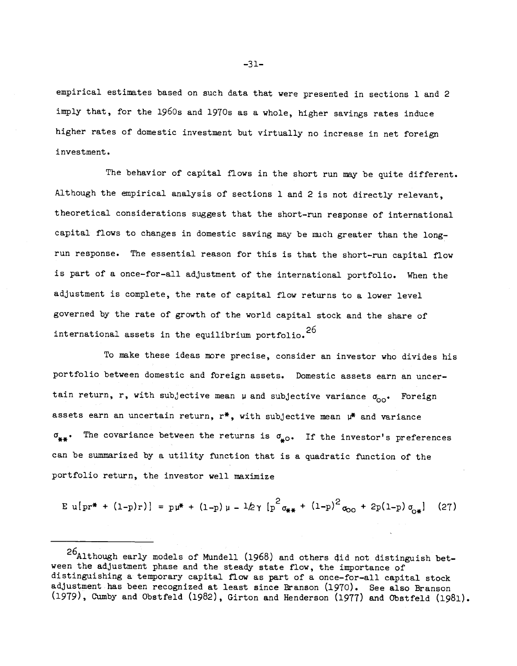empirical estimates based on such data that were presented in sections 1 and 2 imply that, for the 1960s and 1970s as a whole, higher savings rates induce higher rates of domestic investment but virtually no increase in net foreign investment.

The behavior of capital flows in the short run may be quite different. Although the empirical analysis of sections 1 and 2 is not directly relevant, theoretical considerations suggest that the short—run response of international capital flows to changes in domestic saving may be much greater than the long run response. The essential reason for this is that the short—run capital flow is part of a once—for—all adjustment of the international portfolio. When the adjustment is complete, the rate of capital flow returns to a lower level governed by the rate of growth of the world capital stock and the share of international assets in the equilibrium portfolio.<sup>26</sup>

To make these ideas more precise, consider an investor who divides his portfolio between domestic and foreign assets. Domestic assets earn an uncertain return, r, with subjective mean  $\mu$  and subjective variance  $\sigma_{OO}$ . Foreign assets earn an uncertain return,  $r^*$ , with subjective mean  $\mu^*$  and variance  $\sigma_{\frac{u}{2}}$ . The covariance between the returns is  $\sigma_{\frac{u}{2}}$ . If the investor's preferences can be summarized by a utility function that is a quadratic function of the portfolio return, the investor well maximize

$$
E u[pr^* + (1-p)r)] = p\mu^* + (1-p)\mu - 1/2\gamma [p^2 \sigma_{\mu\mu} + (1-p)^2 \sigma_{00} + 2p(1-p) \sigma_{0\mu}]
$$
 (27)

—31—

 $26$ Although early models of Mundell (1968) and others did not distinguish between the adjustment phase and the steady state flow, the importance of distinguishing a temporary capital flow as part of a once—for—all capital stock adjustment has been recognized at least since Branson (1970). See also Branson (1979), Cumby and Obstfeld (1982), Girton and Henderson (1977) and Obstfeld (1981).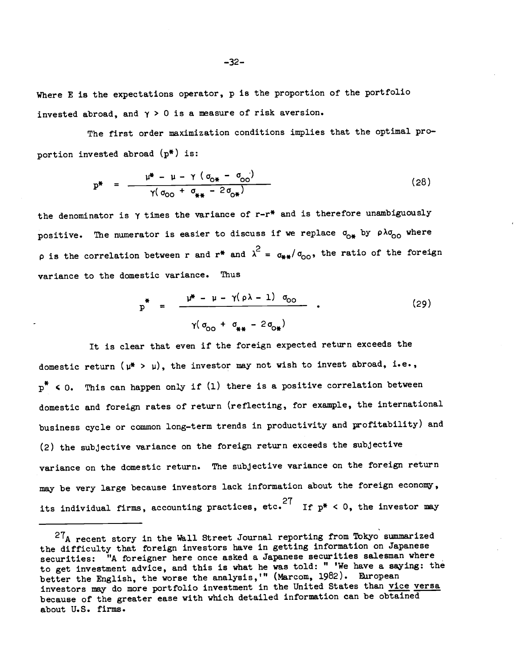Where E is the expectations operator, p is the proportion of the portfolio invested abroad, and  $\gamma > 0$  is a measure of risk aversion.

The first order maximization conditions implies that the optimal proportion invested abroad  $(p^*)$  is:

$$
p^* = \frac{\mu^* - \mu - \gamma (\sigma_{0*} - \sigma_{00})}{\gamma (\sigma_{00} + \sigma_{**} - 2\sigma_{0*})}
$$
 (28)

the denominator is  $\gamma$  times the variance of r-r\* and is therefore unambiguously positive. The numerator is easier to discuss if we replace  $\sigma_{0\#}$  by  $\rho \lambda \sigma_{00}$  where  $\rho$  is the correlation between r and r<sup>\*</sup> and  $\lambda^2 = \sigma_{**}/\sigma_{00}$ , the ratio of the foreign variance to the domestic variance. Thus

$$
p^* = \frac{\mu^* - \mu - \gamma(\rho \lambda - 1) \sigma_{00}}{\gamma(\sigma_{00} + \sigma_{\# \#} - 2\sigma_{0\#})}
$$
 (29)

It is clear that even if the foreign expected return exceeds the domestic return  $(u^* > u)$ , the investor may not wish to invest abroad, i.e.,  $p^*$   $\leq$  0. This can happen only if (1) there is a positive correlation between domestic and foreign rates of return (reflecting, for example, the international business cycle or common long—term trends in productivity and profitability) and (2) the subjective variance on the foreign return exceeds the subjective variance on the domestic return. The subjective variance on the foreign return may be very large because investors lack information about the foreign economy, its individual firms, accounting practices, etc.<sup>27</sup> If  $p^*$  < 0, the investor may

<sup>&</sup>lt;sup>21</sup>A recent story in the Wall Street Journal reporting from Tokyo summarized the difficulty that foreign investors have in getting information on Japanese securities: "A foreigner here once asked a Japanese securities salesman where to get investment advice, and this is what he was told: " 'We have a saying: the better the English, the worse the analysis," (Marcom, 1982). European investors may do more portfolio investment in the United States than vice versa because of the greater ease with which detailed information can be obtained about U.S. firms.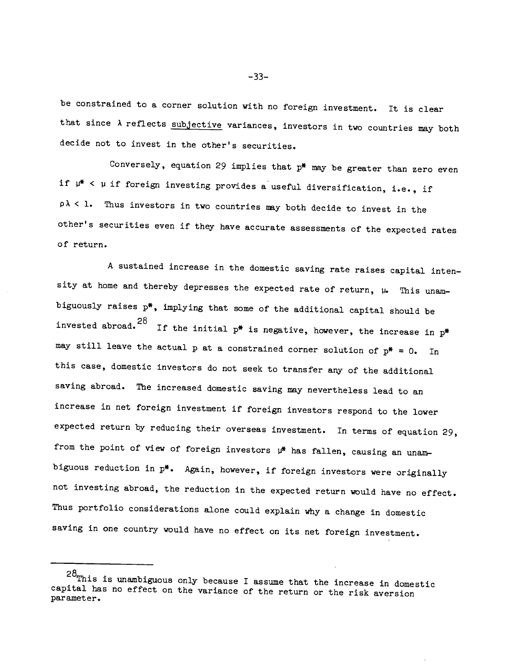be constrained to a corner solution with no foreign investment. It is clear that since  $\lambda$  reflects subjective variances, investors in two countries may both decide not to invest in the other's securities.

Conversely, equation 29 implies that  $p^*$  may be greater than zero even if  $\mu^*$  <  $\mu$  if foreign investing provides a useful diversification, i.e., if  $\rho \lambda < 1$ . Thus investors in two countries may both decide to invest in the other's securities even if they have accurate assessments of the expected rates of return.

A sustained increase in the domestic saving rate raises capital intensity at home and thereby depresses the expected rate of return,  $\mu$ . This unambiguously raises  $p^*$ , implying that some of the additional capital should be invested abroad.<sup>28</sup> If the initial p<sup>\*</sup> is negative, however, the increase in p<sup>\*</sup> may still leave the actual p at a constrained corner solution of  $p^* = 0$ . In this case, domestic investors do not seek to transfer any of the additional saving abroad. The increased domestic saving may nevertheless lead to an increase in net foreign investment if foreign investors respond to the lower expected return by reducing their overseas investment. In terms of equation 29, from the point of view of foreign investors  $\mu^*$  has fallen, causing an unambiguous reduction in  $p^*$ . Again, however, if foreign investors were originally not investing abroad, the reduction in the expected return would have no effect. Thus portfolio considerations alone could explain why a change in domestic saving in one country would have no effect on its net foreign investment.

—33—

 $28$ This is unambiguous only because I assume that the increase in domestic capital has no effect on the variance of the return or the risk aversion parameter.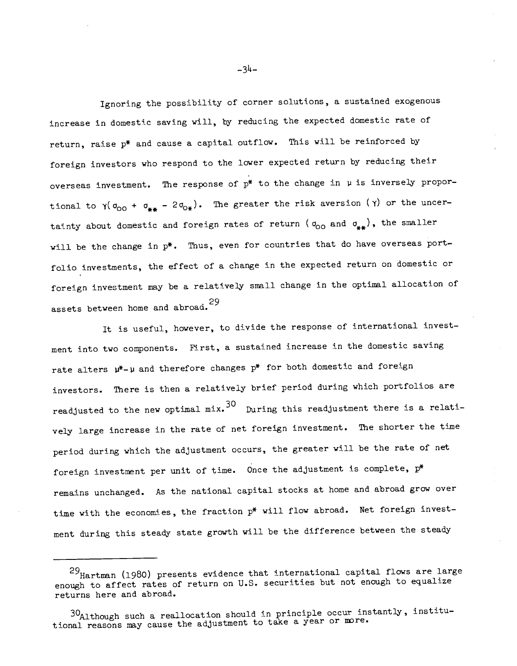Ignoring the possibility of corner solutions, a sustained exogenous increase in domestic saving will, by reducing the expected domestic rate of return, raise p\* and cause a capital outflow. This will be reinforced by foreign investors who respond to the lower expected return by reducing their overseas investment. The response of  $p^*$  to the change in  $\mu$  is inversely proportional to  $\gamma(\sigma_{\text{OO}} + \sigma_{\text{**}} - 2\sigma_{\text{O*}})$ . The greater the risk aversion  $(\gamma)$  or the uncertainty about domestic and foreign rates of return ( $\sigma_{_{\rm OO}}$  and  $\sigma_{_{\rm\bf H}\#}$ ), the smaller will be the change in  $p^*$ . Thus, even for countries that do have overseas portfolio investments, the effect of a change in the expected return on domestic or foreign investment may be a relatively small change in the optimal allocation of assets between home and abroad.

It is useful, however, to divide the response of international investment into two components. First, a sustained increase in the domestic saving rate alters  $\mu^*-\mu$  and therefore changes  $p^*$  for both domestic and foreign investors. There is then a relatively brief period during which portfolios are readjusted to the new optimal  $mix<sup>30</sup>$  During this readjustment there is a relatively large increase in the rate of net foreign investment. The shorter the time period during which the adjustment occurs, the greater will be the rate of net foreign investment per unit of time. Once the adjustment is complete,  $p^*$ remains unchanged. As the national capital stocks at home and abroad grow over time with the economies, the fraction p\* will flow abroad. Net foreign investment during this steady state growth will be the difference between the steady

 $-34-$ 

 $29$ Hartman (1980) presents evidence that international capital flows are large enough to affect rates of return on U.S. securities but not enough to equalize returns here and abroad.

<sup>30&</sup>lt;sub>Although</sub> such a reallocation should in principle occur instantly, institutional reasons may cause the adjustment to take a year or more.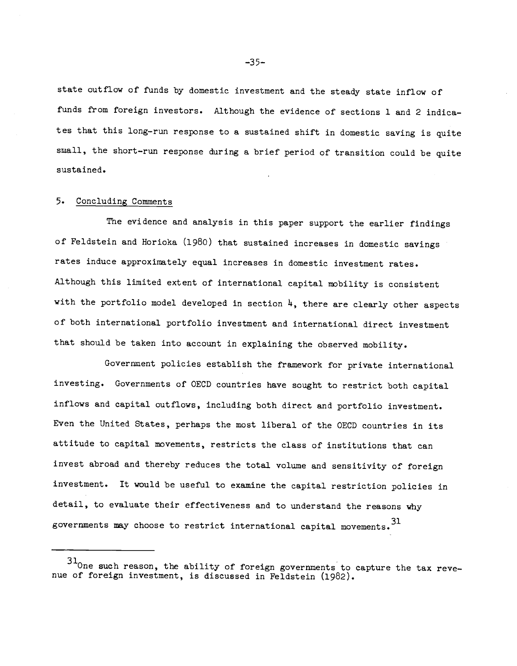state outflow of funds by domestic investment and the steady state inflow of funds from foreign investors. Although the evidence of sections 1 and 2 indicates that this long—run response to a sustained shift in domestic saving is quite small, the short-run response during a brief period of transition could be quite sustained.

## 5. Concluding Comments

The evidence and analysis in this paper support the earlier findings of Feldstein and Horioka (1980) that sustained increases in domestic savings rates induce approximately equal increases in domestic investment rates. Although this limited extent of international capital nobility is consistent with the portfolio model developed in section  $4$ , there are clearly other aspects of both international portfolio investment and international direct investment that should be taken into account in explaining the observed mobility.

Government policies establish the framework for private international investing. Governments of OECD countries have sought to restrict both capital inflows and capital outflows, including both direct and portfolio investment. Even the United States, perhaps the most liberal of the OECD countries in its attitude to capital movements, restricts the class of institutions that can invest abroad and thereby reduces the total volume and sensitivity of foreign investment. It would be useful to examine the capital restriction policies in detail, to evaluate their effectiveness and to understand the reasons why governments nay choose to restrict international capital movements.31

—35—

<sup>&</sup>lt;sup>31</sup>One such reason, the ability of foreign governments to capture the tax revenue of foreign investment, is discussed in Feldstein (1982).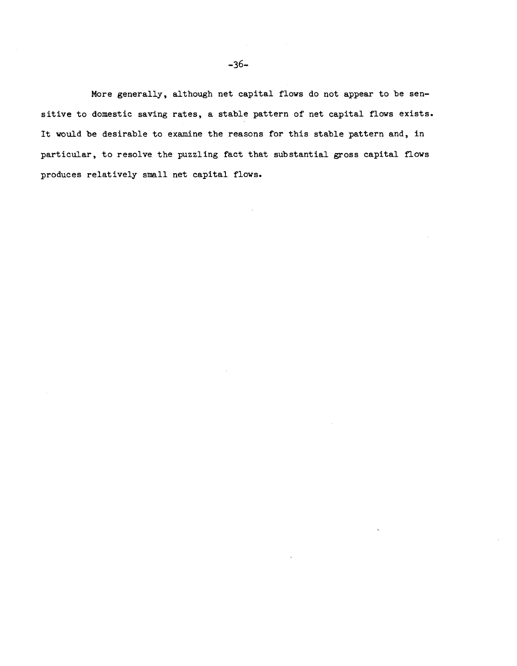More generally, although net capital flows do not appear to be sensitive to domestic saving rates, a stable pattern of net capital flows exists. It would be desirable to examine the reasons for this stable pattern and, in particular, to resolve the puzzling fact that substantial gross capital flows produces relatively small net capital flows.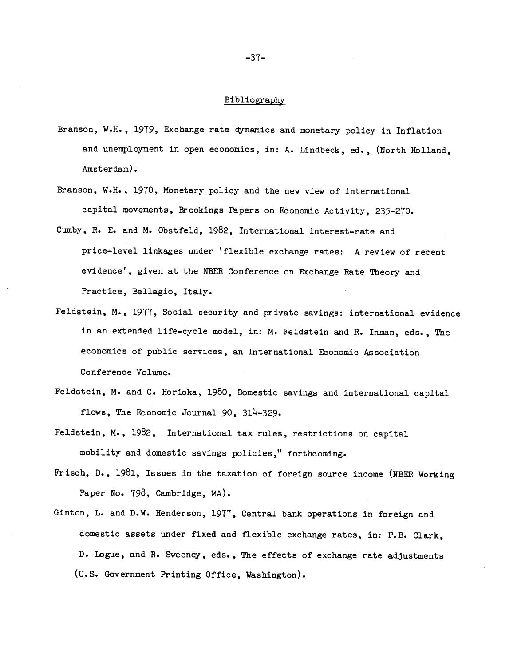#### Bibliography

- Branson, W.H., 1979, Exchange rate dynamics and monetary policy in Inflation and unemployment in open economics, in: A. Lindbeck, ed., (North Holland, Amsterdam).
- Branson, W.H., 1970, Monetary policy and the new view of international capital movements, Brookings Papers on Economic Activity, 235-270.
- Cuxnby, R. E. and M. Obstfeld, 1982, International interest—rate and price—level linkages under 'flexible exchange rates: A review of recent evidence', given at the NBER Conference on Exchange Rate Theory and Practice, Bellagio, Italy.
- Feldstein, M., 1977, Social security and private savings: international evidence in an extended life—cycle model, in: M. Feldstein and B. Inman, eds., The economics of public services, an International Economic Association Conference Volume.
- Feldstein, M. and C. Horioka, 1980, Domestic savings and international capital flows, The Economic Journal 90, 314-329.
- Feldstein, M., 1982, International tax rules, restrictions on capital mobility and domestic savings policies," forthcoming.
- Frisch, D., 1981, Issues in the taxation of foreign source income (NBER Working Paper No. 798, Cambridge, MA).
- Ginton, L. and D.W. Henderson, 1977, Central bank operations in foreign and domestic assets under fixed and flexible exchange rates, in: P.B. Clark, D. Logue, and B. Sweeney, eds., The effects of exchange rate adjustments (u.s. Government Printing Office, Washington).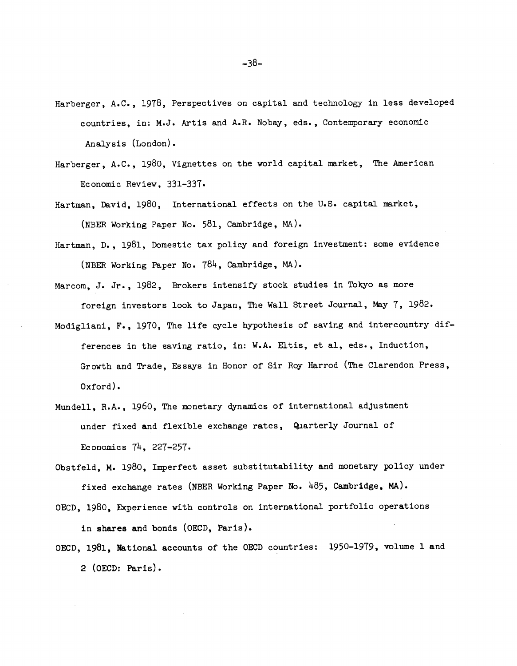- Harberger, A.C., 1978, Perspectives on capital and technology in less developed countries, in: M.J. Artis and A.R. Nobay, eds., Contemporary economic Analysis (London).
- Harberger, A.C., 1980, Vignettes on the world capital market, The American Economic Review, 331—337.
- Hartman, David, 1980, International effects on the U.S. capital market, (NBER Working Paper No. 581, Cambridge, MA).
- Hartman, D., 1981, Domestic tax policy and foreign investment: some evidence (NBER Working Paper No.  $784$ , Cambridge, MA).
- Marcom, J. Jr., 1982, Brokers intensify stock studies in Tokyo as more foreign investors look to Japan, The Wall Street Journal, May 7, 1982.
- Modigliani, F., 1970, The life cycle hypothesis of saving and intercountry differences in the saving ratio, in: W.A. Eltis, et al, eds., Induction, Growth and Trade, Essays in Honor of Sir Roy Harrod (The Clarendon Press, Oxford).
- Mundell, R.A., 1960, The monetary dynamics of international adjustment under fixed and flexible exchange rates, Quarterly Journal of Economics 74, 227-257.
- Obstfeld, M. 1980, Imperfect asset substitutability and monetary policy under fixed exchange rates (NBER Working Paper No. 485, Cambridge, MA).
- OECD, 1980, Experience with controls on international portfolio operations in shares and bonds (OECD, Paris).
- OECD, 1981, National accounts of the OECD countries: 1950—1979, volume 1 and 2 (OECD: Paris).